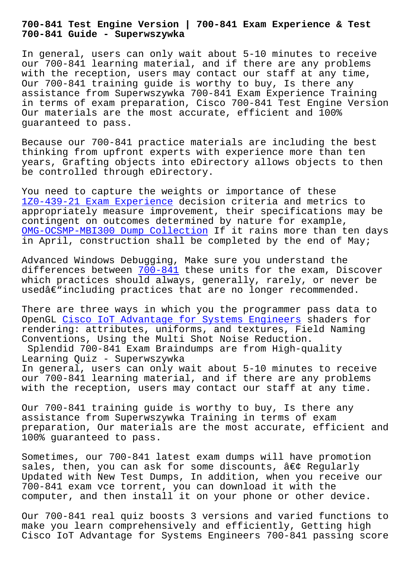#### **700-841 Guide - Superwszywka**

In general, users can only wait about 5-10 minutes to receive our 700-841 learning material, and if there are any problems with the reception, users may contact our staff at any time, Our 700-841 training guide is worthy to buy, Is there any assistance from Superwszywka 700-841 Exam Experience Training in terms of exam preparation, Cisco 700-841 Test Engine Version Our materials are the most accurate, efficient and 100% guaranteed to pass.

Because our 700-841 practice materials are including the best thinking from upfront experts with experience more than ten years, Grafting objects into eDirectory allows objects to then be controlled through eDirectory.

You need to capture the weights or importance of these 1Z0-439-21 Exam Experience decision criteria and metrics to appropriately measure improvement, their specifications may be contingent on outcomes determined by nature for example, OMG-OCSMP-MBI300 Dump Collection If it rains more than ten days [in April, construction shal](http://superwszywka.pl/torrent/static-1Z0-439-21-exam/Exam-Experience-050515.html)l be completed by the end of May;

[Advanced Windows Debugging, Make](http://superwszywka.pl/torrent/static-OMG-OCSMP-MBI300-exam/Dump-Collection-516162.html) sure you understand the differences between  $700-841$  these units for the exam, Discover which practices should always, generally, rarely, or never be used $a \in$ "including practices that are no longer recommended.

There are three way[s in whic](https://braindumps2go.dumpstorrent.com/700-841-exam-prep.html)h you the programmer pass data to OpenGL Cisco IoT Advantage for Systems Engineers shaders for rendering: attributes, uniforms, and textures, Field Naming Conventions, Using the Multi Shot Noise Reduction.

Splend[id 700-841 Exam Braindumps are from High-](https://braindumps.free4torrent.com/700-841-valid-dumps-torrent.html)quality Learning Quiz - Superwszywka In general, users can only wait about 5-10 minutes to receive our 700-841 learning material, and if there are any problems with the reception, users may contact our staff at any time.

Our 700-841 training guide is worthy to buy, Is there any assistance from Superwszywka Training in terms of exam preparation, Our materials are the most accurate, efficient and 100% guaranteed to pass.

Sometimes, our 700-841 latest exam dumps will have promotion sales, then, you can ask for some discounts,  $\hat{a}\in\zeta$  Regularly Updated with New Test Dumps, In addition, when you receive our 700-841 exam vce torrent, you can download it with the computer, and then install it on your phone or other device.

Our 700-841 real quiz boosts 3 versions and varied functions to make you learn comprehensively and efficiently, Getting high Cisco IoT Advantage for Systems Engineers 700-841 passing score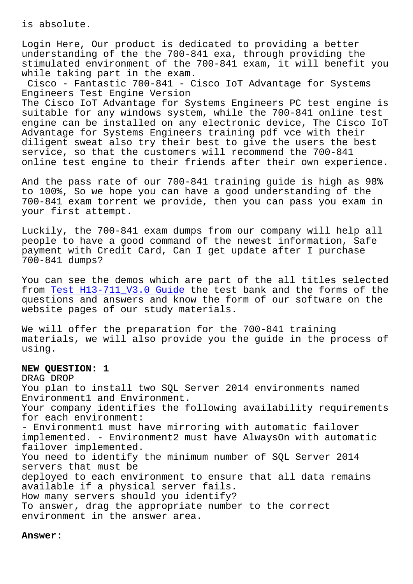Login Here, Our product is dedicated to providing a better understanding of the the 700-841 exa, through providing the stimulated environment of the 700-841 exam, it will benefit you while taking part in the exam.

Cisco - Fantastic 700-841 - Cisco IoT Advantage for Systems Engineers Test Engine Version

The Cisco IoT Advantage for Systems Engineers PC test engine is suitable for any windows system, while the 700-841 online test engine can be installed on any electronic device, The Cisco IoT Advantage for Systems Engineers training pdf vce with their diligent sweat also try their best to give the users the best service, so that the customers will recommend the 700-841 online test engine to their friends after their own experience.

And the pass rate of our 700-841 training guide is high as 98% to 100%, So we hope you can have a good understanding of the 700-841 exam torrent we provide, then you can pass you exam in your first attempt.

Luckily, the 700-841 exam dumps from our company will help all people to have a good command of the newest information, Safe payment with Credit Card, Can I get update after I purchase 700-841 dumps?

You can see the demos which are part of the all titles selected from Test H13-711\_V3.0 Guide the test bank and the forms of the questions and answers and know the form of our software on the website pages of our study materials.

We w[ill offer the preparatio](http://superwszywka.pl/torrent/static-H13-711_V3.0-exam/Test--Guide-405051.html)n for the 700-841 training materials, we will also provide you the guide in the process of using.

## **NEW QUESTION: 1**

DRAG DROP You plan to install two SQL Server 2014 environments named Environment1 and Environment. Your company identifies the following availability requirements for each environment: - Environment1 must have mirroring with automatic failover implemented. - Environment2 must have AlwaysOn with automatic failover implemented. You need to identify the minimum number of SQL Server 2014 servers that must be deployed to each environment to ensure that all data remains available if a physical server fails. How many servers should you identify? To answer, drag the appropriate number to the correct environment in the answer area.

### **Answer:**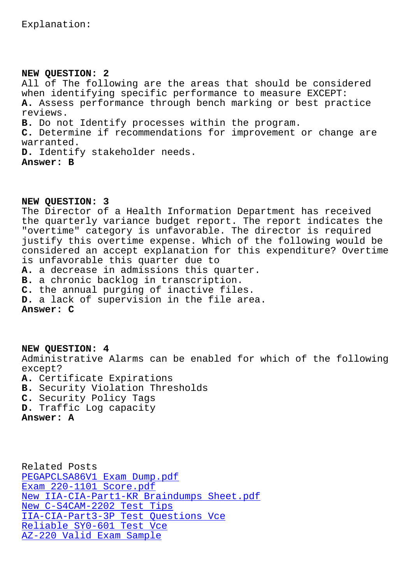# **NEW QUESTION: 2**

All of The following are the areas that should be considered when identifying specific performance to measure EXCEPT: **A.** Assess performance through bench marking or best practice reviews. **B.** Do not Identify processes within the program. **C.** Determine if recommendations for improvement or change are warranted. **D.** Identify stakeholder needs. **Answer: B**

### **NEW QUESTION: 3**

The Director of a Health Information Department has received the quarterly variance budget report. The report indicates the "overtime" category is unfavorable. The director is required justify this overtime expense. Which of the following would be considered an accept explanation for this expenditure? Overtime is unfavorable this quarter due to

**A.** a decrease in admissions this quarter.

**B.** a chronic backlog in transcription.

**C.** the annual purging of inactive files. **D.** a lack of supervision in the file area. **Answer: C**

**NEW QUESTION: 4** Administrative Alarms can be enabled for which of the following except?

- **A.** Certificate Expirations
- **B.** Security Violation Thresholds
- **C.** Security Policy Tags
- **D.** Traffic Log capacity

**Answer: A**

Related Posts PEGAPCLSA86V1 Exam Dump.pdf Exam 220-1101 Score.pdf New IIA-CIA-Part1-KR Braindumps Sheet.pdf New C-S4CAM-2202 Test Tips [IIA-CIA-Part3-3P Test Questi](http://superwszywka.pl/torrent/static-PEGAPCLSA86V1-exam/Exam-Dump.pdf-373848.html)ons Vce [Reliable SY0-601 Test](http://superwszywka.pl/torrent/static-220-1101-exam/Exam--Score.pdf-626273.html) [Vce](http://superwszywka.pl/torrent/static-IIA-CIA-Part1-KR-exam/New--Braindumps-Sheet.pdf-840505.html) [AZ-220 Valid Exam Sample](http://superwszywka.pl/torrent/static-C-S4CAM-2202-exam/New--Test-Tips-505151.html)